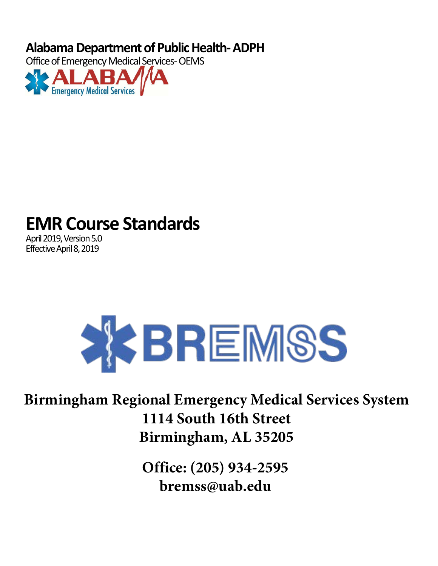**Alabama Department of Public Health- ADPH**

Office of Emergency Medical Services- OEMS



# **EMR Course Standards**

April 2019, Version 5.0 Effective April 8, 2019



# **Birmingham Regional Emergency Medical Services System 1114 South 16th Street Birmingham, AL 35205**

**Office: (205) 934-2595 bremss@uab.edu**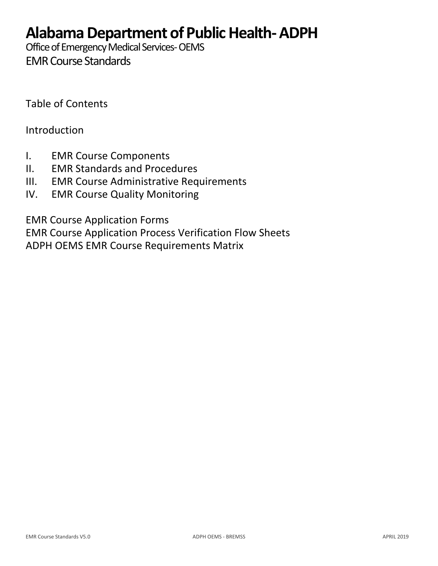# **Alabama Department of Public Health- ADPH**

Office of Emergency Medical Services- OEMS EMR Course Standards

Table of Contents

Introduction

- I. EMR Course Components
- II. EMR Standards and Procedures
- III. EMR Course Administrative Requirements
- IV. EMR Course Quality Monitoring

EMR Course Application Forms

EMR Course Application Process Verification Flow Sheets ADPH OEMS EMR Course Requirements Matrix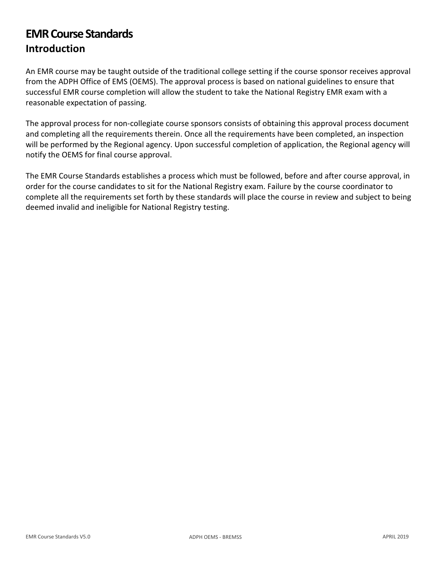# **EMR Course Standards Introduction**

An EMR course may be taught outside of the traditional college setting if the course sponsor receives approval from the ADPH Office of EMS (OEMS). The approval process is based on national guidelines to ensure that successful EMR course completion will allow the student to take the National Registry EMR exam with a reasonable expectation of passing.

The approval process for non-collegiate course sponsors consists of obtaining this approval process document and completing all the requirements therein. Once all the requirements have been completed, an inspection will be performed by the Regional agency. Upon successful completion of application, the Regional agency will notify the OEMS for final course approval.

The EMR Course Standards establishes a process which must be followed, before and after course approval, in order for the course candidates to sit for the National Registry exam. Failure by the course coordinator to complete all the requirements set forth by these standards will place the course in review and subject to being deemed invalid and ineligible for National Registry testing.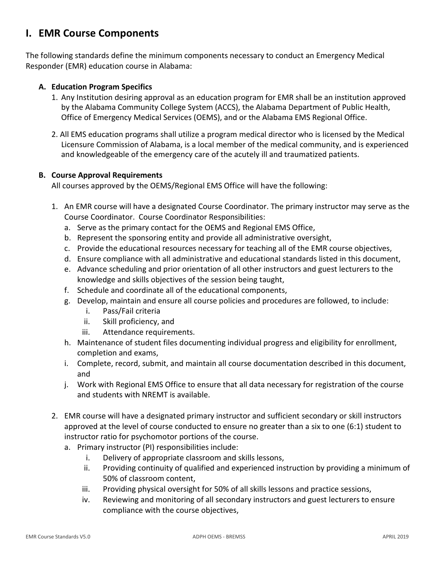# **I. EMR Course Components**

The following standards define the minimum components necessary to conduct an Emergency Medical Responder (EMR) education course in Alabama:

#### **A. Education Program Specifics**

- 1. Any Institution desiring approval as an education program for EMR shall be an institution approved by the Alabama Community College System (ACCS), the Alabama Department of Public Health, Office of Emergency Medical Services (OEMS), and or the Alabama EMS Regional Office.
- 2. All EMS education programs shall utilize a program medical director who is licensed by the Medical Licensure Commission of Alabama, is a local member of the medical community, and is experienced and knowledgeable of the emergency care of the acutely ill and traumatized patients.

#### **B. Course Approval Requirements**

All courses approved by the OEMS/Regional EMS Office will have the following:

- 1. An EMR course will have a designated Course Coordinator. The primary instructor may serve as the Course Coordinator. Course Coordinator Responsibilities:
	- a. Serve as the primary contact for the OEMS and Regional EMS Office,
	- b. Represent the sponsoring entity and provide all administrative oversight,
	- c. Provide the educational resources necessary for teaching all of the EMR course objectives,
	- d. Ensure compliance with all administrative and educational standards listed in this document,
	- e. Advance scheduling and prior orientation of all other instructors and guest lecturers to the knowledge and skills objectives of the session being taught,
	- f. Schedule and coordinate all of the educational components,
	- g. Develop, maintain and ensure all course policies and procedures are followed, to include:
		- i. Pass/Fail criteria
		- ii. Skill proficiency, and
		- iii. Attendance requirements.
	- h. Maintenance of student files documenting individual progress and eligibility for enrollment, completion and exams,
	- i. Complete, record, submit, and maintain all course documentation described in this document, and
	- j. Work with Regional EMS Office to ensure that all data necessary for registration of the course and students with NREMT is available.
- 2. EMR course will have a designated primary instructor and sufficient secondary or skill instructors approved at the level of course conducted to ensure no greater than a six to one (6:1) student to instructor ratio for psychomotor portions of the course.
	- a. Primary instructor (PI) responsibilities include:
		- i. Delivery of appropriate classroom and skills lessons,
		- ii. Providing continuity of qualified and experienced instruction by providing a minimum of 50% of classroom content,
		- iii. Providing physical oversight for 50% of all skills lessons and practice sessions,
		- iv. Reviewing and monitoring of all secondary instructors and guest lecturers to ensure compliance with the course objectives,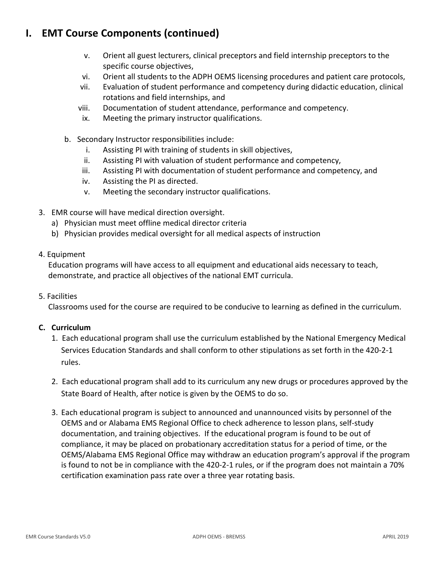# **I. EMT Course Components (continued)**

- v. Orient all guest lecturers, clinical preceptors and field internship preceptors to the specific course objectives,
- vi. Orient all students to the ADPH OEMS licensing procedures and patient care protocols,
- vii. Evaluation of student performance and competency during didactic education, clinical rotations and field internships, and
- viii. Documentation of student attendance, performance and competency.
- ix. Meeting the primary instructor qualifications.
- b. Secondary Instructor responsibilities include:
	- i. Assisting PI with training of students in skill objectives,
	- ii. Assisting PI with valuation of student performance and competency,
	- iii. Assisting PI with documentation of student performance and competency, and
	- iv. Assisting the PI as directed.
	- v. Meeting the secondary instructor qualifications.
- 3. EMR course will have medical direction oversight.
	- a) Physician must meet offline medical director criteria
	- b) Physician provides medical oversight for all medical aspects of instruction
- 4. Equipment

Education programs will have access to all equipment and educational aids necessary to teach, demonstrate, and practice all objectives of the national EMT curricula.

#### 5. Facilities

Classrooms used for the course are required to be conducive to learning as defined in the curriculum.

#### **C. Curriculum**

- 1. Each educational program shall use the curriculum established by the National Emergency Medical Services Education Standards and shall conform to other stipulations as set forth in the 420-2-1 rules.
- 2. Each educational program shall add to its curriculum any new drugs or procedures approved by the State Board of Health, after notice is given by the OEMS to do so.
- 3. Each educational program is subject to announced and unannounced visits by personnel of the OEMS and or Alabama EMS Regional Office to check adherence to lesson plans, self-study documentation, and training objectives. If the educational program is found to be out of compliance, it may be placed on probationary accreditation status for a period of time, or the OEMS/Alabama EMS Regional Office may withdraw an education program's approval if the program is found to not be in compliance with the 420-2-1 rules, or if the program does not maintain a 70% certification examination pass rate over a three year rotating basis.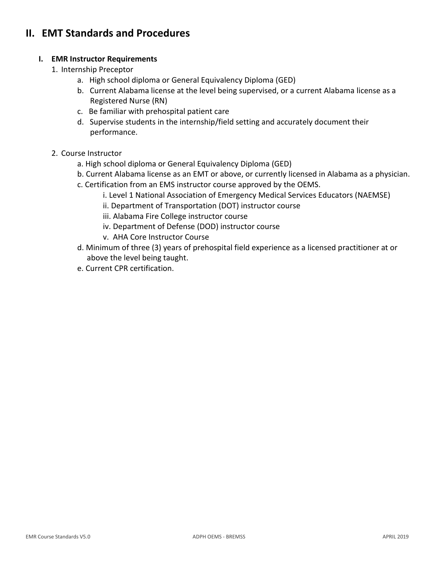# **II. EMT Standards and Procedures**

#### **I. EMR Instructor Requirements**

- 1. Internship Preceptor
	- a. High school diploma or General Equivalency Diploma (GED)
	- b. Current Alabama license at the level being supervised, or a current Alabama license as a Registered Nurse (RN)
	- c. Be familiar with prehospital patient care
	- d. Supervise students in the internship/field setting and accurately document their performance.
- 2. Course Instructor
	- a. High school diploma or General Equivalency Diploma (GED)
	- b. Current Alabama license as an EMT or above, or currently licensed in Alabama as a physician.
	- c. Certification from an EMS instructor course approved by the OEMS.
		- i. Level 1 National Association of Emergency Medical Services Educators (NAEMSE)
		- ii. Department of Transportation (DOT) instructor course
		- iii. Alabama Fire College instructor course
		- iv. Department of Defense (DOD) instructor course
		- v. AHA Core Instructor Course
	- d. Minimum of three (3) years of prehospital field experience as a licensed practitioner at or above the level being taught.
	- e. Current CPR certification.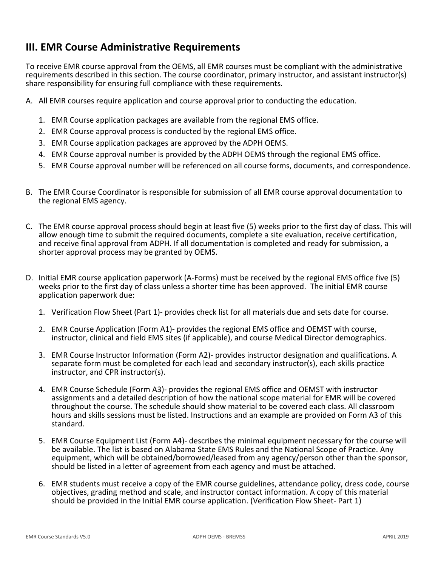# **III. EMR Course Administrative Requirements**

To receive EMR course approval from the OEMS, all EMR courses must be compliant with the administrative requirements described in this section. The course coordinator, primary instructor, and assistant instructor(s) share responsibility for ensuring full compliance with these requirements.

- A. All EMR courses require application and course approval prior to conducting the education.
	- 1. EMR Course application packages are available from the regional EMS office.
	- 2. EMR Course approval process is conducted by the regional EMS office.
	- 3. EMR Course application packages are approved by the ADPH OEMS.
	- 4. EMR Course approval number is provided by the ADPH OEMS through the regional EMS office.
	- 5. EMR Course approval number will be referenced on all course forms, documents, and correspondence.
- B. The EMR Course Coordinator is responsible for submission of all EMR course approval documentation to the regional EMS agency.
- C. The EMR course approval process should begin at least five (5) weeks prior to the first day of class. This will allow enough time to submit the required documents, complete a site evaluation, receive certification, and receive final approval from ADPH. If all documentation is completed and ready for submission, a shorter approval process may be granted by OEMS.
- D. Initial EMR course application paperwork (A-Forms) must be received by the regional EMS office five (5) weeks prior to the first day of class unless a shorter time has been approved. The initial EMR course application paperwork due:
	- 1. Verification Flow Sheet (Part 1)- provides check list for all materials due and sets date for course.
	- 2. EMR Course Application (Form A1)- provides the regional EMS office and OEMST with course, instructor, clinical and field EMS sites (if applicable), and course Medical Director demographics.
	- 3. EMR Course Instructor Information (Form A2)- provides instructor designation and qualifications. A separate form must be completed for each lead and secondary instructor(s), each skills practice instructor, and CPR instructor(s).
	- 4. EMR Course Schedule (Form A3)- provides the regional EMS office and OEMST with instructor assignments and a detailed description of how the national scope material for EMR will be covered throughout the course. The schedule should show material to be covered each class. All classroom hours and skills sessions must be listed. Instructions and an example are provided on Form A3 of this standard.
	- 5. EMR Course Equipment List (Form A4)- describes the minimal equipment necessary for the course will be available. The list is based on Alabama State EMS Rules and the National Scope of Practice. Any equipment, which will be obtained/borrowed/leased from any agency/person other than the sponsor, should be listed in a letter of agreement from each agency and must be attached.
	- 6. EMR students must receive a copy of the EMR course guidelines, attendance policy, dress code, course objectives, grading method and scale, and instructor contact information. A copy of this material should be provided in the Initial EMR course application. (Verification Flow Sheet- Part 1)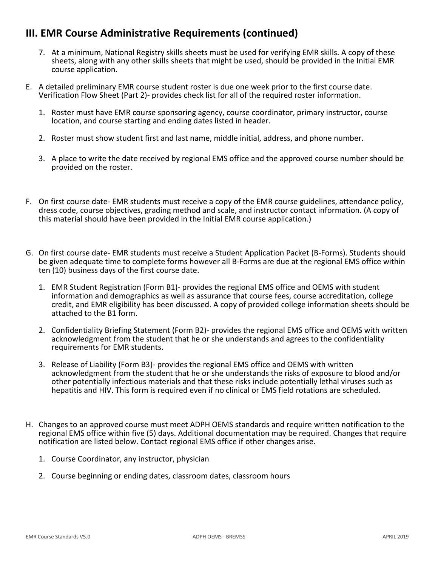# **III. EMR Course Administrative Requirements (continued)**

- 7. At a minimum, National Registry skills sheets must be used for verifying EMR skills. A copy of these sheets, along with any other skills sheets that might be used, should be provided in the Initial EMR course application.
- E. A detailed preliminary EMR course student roster is due one week prior to the first course date. Verification Flow Sheet (Part 2)- provides check list for all of the required roster information.
	- 1. Roster must have EMR course sponsoring agency, course coordinator, primary instructor, course location, and course starting and ending dates listed in header.
	- 2. Roster must show student first and last name, middle initial, address, and phone number.
	- 3. A place to write the date received by regional EMS office and the approved course number should be provided on the roster.
- F. On first course date- EMR students must receive a copy of the EMR course guidelines, attendance policy, dress code, course objectives, grading method and scale, and instructor contact information. (A copy of this material should have been provided in the Initial EMR course application.)
- G. On first course date- EMR students must receive a Student Application Packet (B-Forms). Students should be given adequate time to complete forms however all B-Forms are due at the regional EMS office within ten (10) business days of the first course date.
	- 1. EMR Student Registration (Form B1)- provides the regional EMS office and OEMS with student information and demographics as well as assurance that course fees, course accreditation, college credit, and EMR eligibility has been discussed. A copy of provided college information sheets should be attached to the B1 form.
	- 2. Confidentiality Briefing Statement (Form B2)- provides the regional EMS office and OEMS with written acknowledgment from the student that he or she understands and agrees to the confidentiality requirements for EMR students.
	- 3. Release of Liability (Form B3)- provides the regional EMS office and OEMS with written acknowledgment from the student that he or she understands the risks of exposure to blood and/or other potentially infectious materials and that these risks include potentially lethal viruses such as hepatitis and HIV. This form is required even if no clinical or EMS field rotations are scheduled.
- H. Changes to an approved course must meet ADPH OEMS standards and require written notification to the regional EMS office within five (5) days. Additional documentation may be required. Changes that require notification are listed below. Contact regional EMS office if other changes arise.
	- 1. Course Coordinator, any instructor, physician
	- 2. Course beginning or ending dates, classroom dates, classroom hours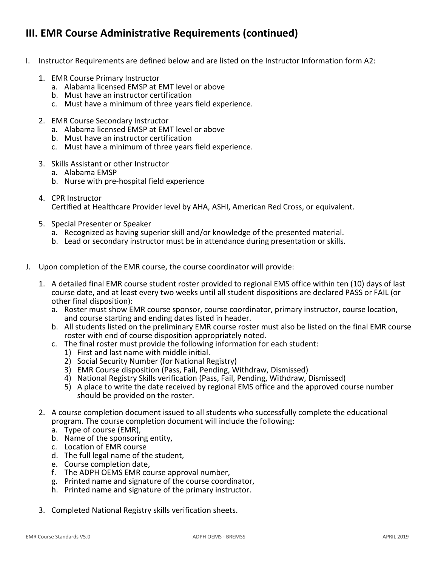# **III. EMR Course Administrative Requirements (continued)**

- I. Instructor Requirements are defined below and are listed on the Instructor Information form A2:
	- 1. EMR Course Primary Instructor
		- a. Alabama licensed EMSP at EMT level or above
		- b. Must have an instructor certification
		- c. Must have a minimum of three years field experience.
	- 2. EMR Course Secondary Instructor
		- a. Alabama licensed EMSP at EMT level or above
		- b. Must have an instructor certification
		- c. Must have a minimum of three years field experience.
	- 3. Skills Assistant or other Instructor
		- a. Alabama EMSP
		- b. Nurse with pre-hospital field experience
	- 4. CPR Instructor Certified at Healthcare Provider level by AHA, ASHI, American Red Cross, or equivalent.
	- 5. Special Presenter or Speaker
		- a. Recognized as having superior skill and/or knowledge of the presented material.
		- b. Lead or secondary instructor must be in attendance during presentation or skills.
- J. Upon completion of the EMR course, the course coordinator will provide:
	- 1. A detailed final EMR course student roster provided to regional EMS office within ten (10) days of last course date, and at least every two weeks until all student dispositions are declared PASS or FAIL (or other final disposition):
		- a. Roster must show EMR course sponsor, course coordinator, primary instructor, course location, and course starting and ending dates listed in header.
		- b. All students listed on the preliminary EMR course roster must also be listed on the final EMR course roster with end of course disposition appropriately noted.
		- c. The final roster must provide the following information for each student:
			- 1) First and last name with middle initial.
			- 2) Social Security Number (for National Registry)
			- 3) EMR Course disposition (Pass, Fail, Pending, Withdraw, Dismissed)
			- 4) National Registry Skills verification (Pass, Fail, Pending, Withdraw, Dismissed)
			- 5) A place to write the date received by regional EMS office and the approved course number should be provided on the roster.
	- 2. A course completion document issued to all students who successfully complete the educational program. The course completion document will include the following:<br>a. Type of course (EMR),
		-
		- b. Name of the sponsoring entity,
		- c. Location of EMR course
		- d. The full legal name of the student,
		- e. Course completion date,
		- f. The ADPH OEMS EMR course approval number,
		- g. Printed name and signature of the course coordinator,
		- h. Printed name and signature of the primary instructor.
	- 3. Completed National Registry skills verification sheets.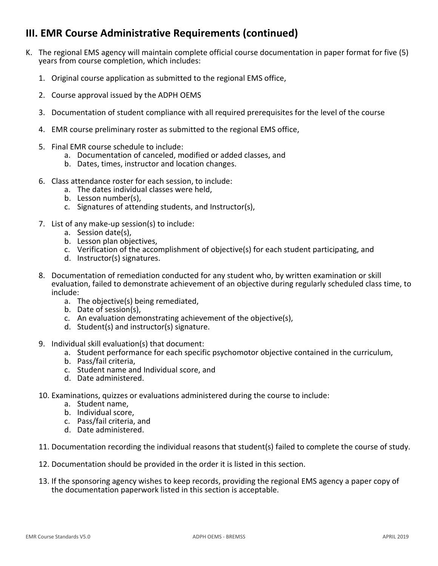# **III. EMR Course Administrative Requirements (continued)**

- K. The regional EMS agency will maintain complete official course documentation in paper format for five (5) years from course completion, which includes:
	- 1. Original course application as submitted to the regional EMS office,
	- 2. Course approval issued by the ADPH OEMS
	- 3. Documentation of student compliance with all required prerequisites for the level of the course
	- 4. EMR course preliminary roster as submitted to the regional EMS office,
	- 5. Final EMR course schedule to include:
		- a. Documentation of canceled, modified or added classes, and
		- b. Dates, times, instructor and location changes.
	- 6. Class attendance roster for each session, to include:
		- a. The dates individual classes were held,
		- b. Lesson number(s),
		- c. Signatures of attending students, and Instructor(s),
	- 7. List of any make-up session(s) to include:
		- a. Session date(s),
		- b. Lesson plan objectives,
		- c. Verification of the accomplishment of objective(s) for each student participating, and
		- d. Instructor(s) signatures.
	- 8. Documentation of remediation conducted for any student who, by written examination or skill evaluation, failed to demonstrate achievement of an objective during regularly scheduled class time, to include:
		- a. The objective(s) being remediated,
		- b. Date of session(s),
		- c. An evaluation demonstrating achievement of the objective(s),
		- d. Student(s) and instructor(s) signature.
	- 9. Individual skill evaluation(s) that document:
		- a. Student performance for each specific psychomotor objective contained in the curriculum,
		- b. Pass/fail criteria,
		- c. Student name and Individual score, and
		- d. Date administered.
	- 10. Examinations, quizzes or evaluations administered during the course to include:
		- a. Student name,
		- b. Individual score,
		- c. Pass/fail criteria, and
		- d. Date administered.
	- 11. Documentation recording the individual reasons that student(s) failed to complete the course of study.
	- 12. Documentation should be provided in the order it is listed in this section.
	- 13. If the sponsoring agency wishes to keep records, providing the regional EMS agency a paper copy of the documentation paperwork listed in this section is acceptable.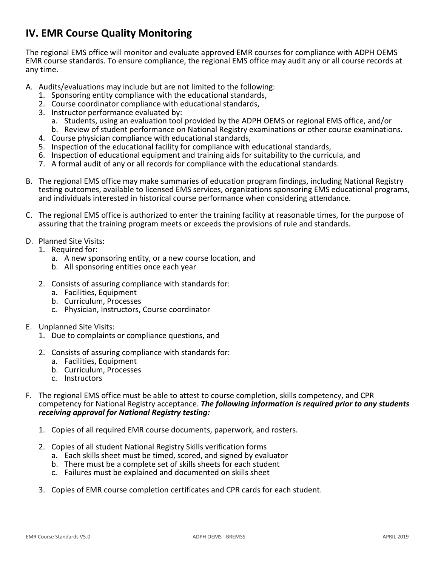# **IV. EMR Course Quality Monitoring**

The regional EMS office will monitor and evaluate approved EMR courses for compliance with ADPH OEMS EMR course standards. To ensure compliance, the regional EMS office may audit any or all course records at any time.

- A. Audits/evaluations may include but are not limited to the following:
	- 1. Sponsoring entity compliance with the educational standards,
	- 2. Course coordinator compliance with educational standards,
	- 3. Instructor performance evaluated by:
		- a. Students, using an evaluation tool provided by the ADPH OEMS or regional EMS office, and/or
	- b. Review of student performance on National Registry examinations or other course examinations.
	-
	- 4. Course physician compliance with educational standards,<br>5. Inspection of the educational facility for compliance with educational standards.
	- 6. Inspection of educational equipment and training aids for suitability to the curricula, and
	- 7. A formal audit of any or all records for compliance with the educational standards.
- B. The regional EMS office may make summaries of education program findings, including National Registry testing outcomes, available to licensed EMS services, organizations sponsoring EMS educational programs, and individuals interested in historical course performance when considering attendance.
- C. The regional EMS office is authorized to enter the training facility at reasonable times, for the purpose of assuring that the training program meets or exceeds the provisions of rule and standards.
- D. Planned Site Visits:
	- 1. Required for:
		- a. A new sponsoring entity, or a new course location, and
		- b. All sponsoring entities once each year
	- 2. Consists of assuring compliance with standards for:
		- a. Facilities, Equipment
		- b. Curriculum, Processes
		- c. Physician, Instructors, Course coordinator
- E. Unplanned Site Visits:
	- 1. Due to complaints or compliance questions, and
	- 2. Consists of assuring compliance with standards for:
		- a. Facilities, Equipment
		- b. Curriculum, Processes
		- c. Instructors
- F. The regional EMS office must be able to attest to course completion, skills competency, and CPR competency for National Registry acceptance. *The following information is required prior to any students receiving approval for National Registry testing:*
	- 1. Copies of all required EMR course documents, paperwork, and rosters.
	- 2. Copies of all student National Registry Skills verification forms
		- a. Each skills sheet must be timed, scored, and signed by evaluator
		- b. There must be a complete set of skills sheets for each student
		- c. Failures must be explained and documented on skills sheet
	- 3. Copies of EMR course completion certificates and CPR cards for each student.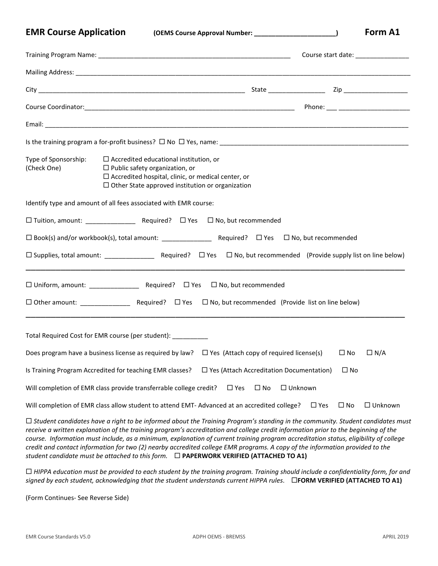| <b>EMR Course Application</b> |  |  |
|-------------------------------|--|--|
|-------------------------------|--|--|

**CORR ACTE: APPRIMAGE APPROVAL NUMBER COURGE ACTES ASSESSED ASSESSED AT ACTES A CONDITI Form A1** 

|                                     |                                                                                                                                                                                                                                                                                                                                                                                                                                                                                                                                                                                                                                                    |                                                 |                |              | Course start date: ________________ |
|-------------------------------------|----------------------------------------------------------------------------------------------------------------------------------------------------------------------------------------------------------------------------------------------------------------------------------------------------------------------------------------------------------------------------------------------------------------------------------------------------------------------------------------------------------------------------------------------------------------------------------------------------------------------------------------------------|-------------------------------------------------|----------------|--------------|-------------------------------------|
|                                     |                                                                                                                                                                                                                                                                                                                                                                                                                                                                                                                                                                                                                                                    |                                                 |                |              |                                     |
|                                     |                                                                                                                                                                                                                                                                                                                                                                                                                                                                                                                                                                                                                                                    |                                                 |                |              |                                     |
|                                     |                                                                                                                                                                                                                                                                                                                                                                                                                                                                                                                                                                                                                                                    |                                                 |                |              | Phone: ____ ______________________  |
|                                     |                                                                                                                                                                                                                                                                                                                                                                                                                                                                                                                                                                                                                                                    |                                                 |                |              |                                     |
|                                     |                                                                                                                                                                                                                                                                                                                                                                                                                                                                                                                                                                                                                                                    |                                                 |                |              |                                     |
| Type of Sponsorship:<br>(Check One) | $\Box$ Accredited educational institution, or<br>$\Box$ Public safety organization, or<br>$\Box$ Accredited hospital, clinic, or medical center, or<br>$\Box$ Other State approved institution or organization                                                                                                                                                                                                                                                                                                                                                                                                                                     |                                                 |                |              |                                     |
|                                     | Identify type and amount of all fees associated with EMR course:                                                                                                                                                                                                                                                                                                                                                                                                                                                                                                                                                                                   |                                                 |                |              |                                     |
|                                     |                                                                                                                                                                                                                                                                                                                                                                                                                                                                                                                                                                                                                                                    |                                                 |                |              |                                     |
|                                     |                                                                                                                                                                                                                                                                                                                                                                                                                                                                                                                                                                                                                                                    |                                                 |                |              |                                     |
|                                     |                                                                                                                                                                                                                                                                                                                                                                                                                                                                                                                                                                                                                                                    |                                                 |                |              |                                     |
|                                     |                                                                                                                                                                                                                                                                                                                                                                                                                                                                                                                                                                                                                                                    |                                                 |                |              |                                     |
|                                     |                                                                                                                                                                                                                                                                                                                                                                                                                                                                                                                                                                                                                                                    |                                                 |                |              |                                     |
|                                     | Total Required Cost for EMR course (per student): __________                                                                                                                                                                                                                                                                                                                                                                                                                                                                                                                                                                                       |                                                 |                |              |                                     |
|                                     | Does program have a business license as required by law? $\Box$ Yes (Attach copy of required license(s)                                                                                                                                                                                                                                                                                                                                                                                                                                                                                                                                            |                                                 |                | $\square$ No | $\Box N/A$                          |
|                                     | Is Training Program Accredited for teaching EMR classes?                                                                                                                                                                                                                                                                                                                                                                                                                                                                                                                                                                                           | $\Box$ Yes (Attach Accreditation Documentation) |                | $\square$ No |                                     |
|                                     | Will completion of EMR class provide transferrable college credit?                                                                                                                                                                                                                                                                                                                                                                                                                                                                                                                                                                                 | $\Box$ Yes<br>$\square$ No                      | $\Box$ Unknown |              |                                     |
|                                     | Will completion of EMR class allow student to attend EMT- Advanced at an accredited college?                                                                                                                                                                                                                                                                                                                                                                                                                                                                                                                                                       |                                                 | $\sqcup$ Yes   | $\square$ No | $\Box$ Unknown                      |
|                                     | $\Box$ Student candidates have a right to be informed about the Training Program's standing in the community. Student candidates must<br>receive a written explanation of the training program's accreditation and college credit information prior to the beginning of the<br>course. Information must include, as a minimum, explanation of current training program accreditation status, eligibility of college<br>credit and contact information for two (2) nearby accredited college EMR programs. A copy of the information provided to the<br>student candidate must be attached to this form. $\Box$ PAPERWORK VERIFIED (ATTACHED TO A1) |                                                 |                |              |                                     |

 *HIPPA education must be provided to each student by the training program. Training should include a confidentiality form, for and signed by each student, acknowledging that the student understands current HIPPA rules*. **FORM VERIFIED (ATTACHED TO A1)**

(Form Continues- See Reverse Side)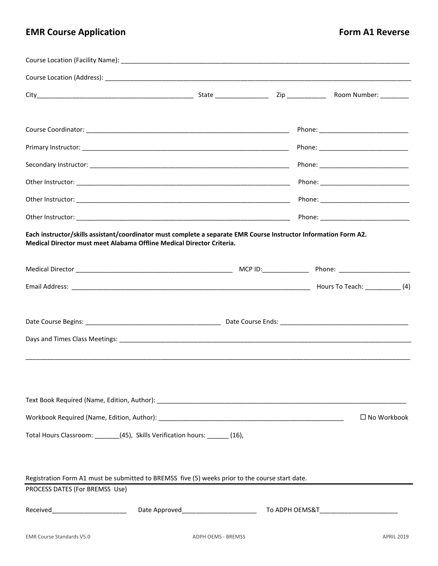# **EMR Course Application Form A1 Reverse**

| Course Location (Facility Name): Manual Courses and Courses and Courses and Courses and Courses and Courses and                                                                           |  |                       |
|-------------------------------------------------------------------------------------------------------------------------------------------------------------------------------------------|--|-----------------------|
|                                                                                                                                                                                           |  |                       |
|                                                                                                                                                                                           |  |                       |
|                                                                                                                                                                                           |  |                       |
|                                                                                                                                                                                           |  |                       |
|                                                                                                                                                                                           |  |                       |
|                                                                                                                                                                                           |  |                       |
|                                                                                                                                                                                           |  |                       |
|                                                                                                                                                                                           |  |                       |
|                                                                                                                                                                                           |  |                       |
| Each instructor/skills assistant/coordinator must complete a separate EMR Course Instructor Information Form A2.<br>Medical Director must meet Alabama Offline Medical Director Criteria. |  |                       |
|                                                                                                                                                                                           |  |                       |
|                                                                                                                                                                                           |  |                       |
|                                                                                                                                                                                           |  |                       |
|                                                                                                                                                                                           |  |                       |
|                                                                                                                                                                                           |  |                       |
|                                                                                                                                                                                           |  |                       |
|                                                                                                                                                                                           |  |                       |
|                                                                                                                                                                                           |  |                       |
|                                                                                                                                                                                           |  |                       |
|                                                                                                                                                                                           |  | $\square$ No Workbook |
| Total Hours Classroom: _______(45), Skills Verification hours: ______ (16),                                                                                                               |  |                       |
|                                                                                                                                                                                           |  |                       |
|                                                                                                                                                                                           |  |                       |
| Registration Form A1 must be submitted to BREMSS five (5) weeks prior to the course start date.<br>PROCESS DATES (For BREMSS Use)                                                         |  |                       |
|                                                                                                                                                                                           |  |                       |
| Received_________________________                                                                                                                                                         |  |                       |
|                                                                                                                                                                                           |  |                       |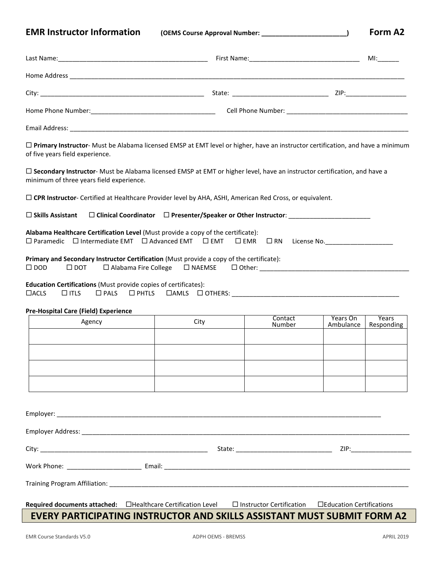**EMR Instructor Information (OEMS Course Approval Number: \_\_\_\_\_\_\_\_\_\_\_\_\_\_\_\_\_\_\_\_\_\_\_\_) Form A2**

of five years field experience.

|                                                                                                                                  |  | ZIP:_______________________ |  |
|----------------------------------------------------------------------------------------------------------------------------------|--|-----------------------------|--|
|                                                                                                                                  |  |                             |  |
|                                                                                                                                  |  |                             |  |
| □ Primary Instructor- Must be Alabama licensed EMSP at EMT level or higher, have an instructor certification, and have a minimum |  |                             |  |

 **Secondary Instructor**- Must be Alabama licensed EMSP at EMT or higher level, have an instructor certification, and have a minimum of three years field experience.

**CPR Instructor**- Certified at Healthcare Provider level by AHA, ASHI, American Red Cross, or equivalent.

 **Skills Assistant Clinical Coordinator Presenter/Speaker or Other Instructor**: \_\_\_\_\_\_\_\_\_\_\_\_\_\_\_\_\_\_\_\_\_\_\_ **Alabama Healthcare Certification Level** (Must provide a copy of the certificate):  $\square$  Paramedic  $\square$  Intermediate EMT  $\square$  Advanced EMT  $\square$  EMT  $\square$  EMR  $\square$  RN License No.

|            |            | Primary and Secondary Instructor Certification (Must provide a copy of the certificate): |                  |               |
|------------|------------|------------------------------------------------------------------------------------------|------------------|---------------|
| $\Box$ DOD | $\Box$ DOT | $\Box$ Alabama Fire College                                                              | $\square$ NAEMSE | $\Box$ Other: |

#### **Education Certifications** (Must provide copies of certificates):

ACLS ITLS PALS PHTLS AMLS OTHERS: \_\_\_\_\_\_\_\_\_\_\_\_\_\_\_\_\_\_\_\_\_\_\_\_\_\_\_\_\_\_\_\_\_\_\_\_\_\_\_\_\_\_\_\_\_\_\_

#### **Pre-Hospital Care (Field) Experience**

| Agency | City | Contact<br>Number | Years On<br>Ambulance | Years<br>Responding |
|--------|------|-------------------|-----------------------|---------------------|
|        |      |                   |                       |                     |
|        |      |                   |                       |                     |
|        |      |                   |                       |                     |
|        |      |                   |                       |                     |

| <b>Required documents attached:</b> □Healthcare Certification Level | $\Box$ Instructor Certification $\Box$ Education Certifications |  |
|---------------------------------------------------------------------|-----------------------------------------------------------------|--|

# **EVERY PARTICIPATING INSTRUCTOR AND SKILLS ASSISTANT MUST SUBMIT FORM A2**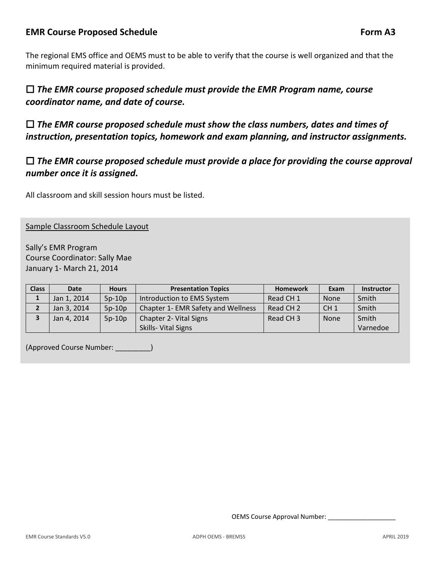## **EMR Course Proposed Schedule Form A3 Form A3**

The regional EMS office and OEMS must to be able to verify that the course is well organized and that the minimum required material is provided.

# *The EMR course proposed schedule must provide the EMR Program name, course coordinator name, and date of course.*

 *The EMR course proposed schedule must show the class numbers, dates and times of instruction, presentation topics, homework and exam planning, and instructor assignments.*

# *The EMR course proposed schedule must provide a place for providing the course approval number once it is assigned.*

All classroom and skill session hours must be listed.

Sample Classroom Schedule Layout

Sally's EMR Program Course Coordinator: Sally Mae January 1- March 21, 2014

| <b>Class</b> | <b>Date</b> | <b>Hours</b> | <b>Presentation Topics</b>         | <b>Homework</b>      | Exam            | <b>Instructor</b> |
|--------------|-------------|--------------|------------------------------------|----------------------|-----------------|-------------------|
| л.           | Jan 1, 2014 | $5p-10p$     | Introduction to EMS System         | Read CH 1            | <b>None</b>     | Smith             |
|              | Jan 3, 2014 | $5p-10p$     | Chapter 1- EMR Safety and Wellness | Read CH <sub>2</sub> | CH <sub>1</sub> | Smith             |
|              | Jan 4, 2014 | $5p-10p$     | Chapter 2- Vital Signs             | Read CH <sub>3</sub> | <b>None</b>     | Smith             |
|              |             |              | Skills-Vital Signs                 |                      |                 | Varnedoe          |

(Approved Course Number: \_\_\_\_\_\_\_\_\_)

OEMS Course Approval Number: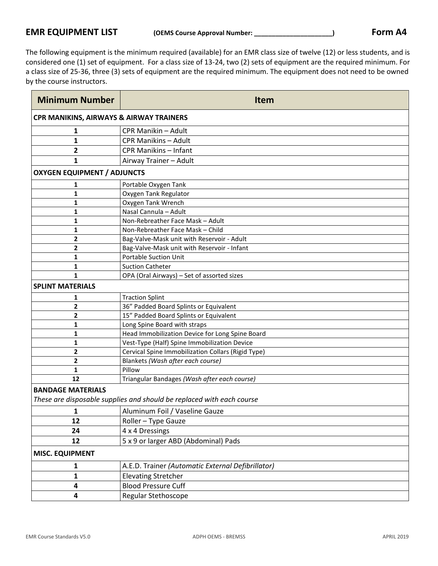The following equipment is the minimum required (available) for an EMR class size of twelve (12) or less students, and is considered one (1) set of equipment. For a class size of 13-24, two (2) sets of equipment are the required minimum. For a class size of 25-36, three (3) sets of equipment are the required minimum. The equipment does not need to be owned by the course instructors.

|                                    | <b>CPR MANIKINS, AIRWAYS &amp; AIRWAY TRAINERS</b>                    |  |  |  |
|------------------------------------|-----------------------------------------------------------------------|--|--|--|
| 1                                  | CPR Manikin - Adult                                                   |  |  |  |
| 1                                  | <b>CPR Manikins - Adult</b>                                           |  |  |  |
| 2                                  | CPR Manikins - Infant                                                 |  |  |  |
| 1                                  | Airway Trainer - Adult                                                |  |  |  |
| <b>OXYGEN EQUIPMENT / ADJUNCTS</b> |                                                                       |  |  |  |
| 1                                  | Portable Oxygen Tank                                                  |  |  |  |
| 1                                  | Oxygen Tank Regulator                                                 |  |  |  |
| 1                                  | Oxygen Tank Wrench                                                    |  |  |  |
| 1                                  | Nasal Cannula - Adult                                                 |  |  |  |
| 1                                  | Non-Rebreather Face Mask - Adult                                      |  |  |  |
| 1                                  | Non-Rebreather Face Mask - Child                                      |  |  |  |
| 2                                  | Bag-Valve-Mask unit with Reservoir - Adult                            |  |  |  |
| 2                                  | Bag-Valve-Mask unit with Reservoir - Infant                           |  |  |  |
| 1                                  | <b>Portable Suction Unit</b>                                          |  |  |  |
| 1                                  | <b>Suction Catheter</b>                                               |  |  |  |
| 1                                  | OPA (Oral Airways) - Set of assorted sizes                            |  |  |  |
| <b>SPLINT MATERIALS</b>            |                                                                       |  |  |  |
| 1                                  | <b>Traction Splint</b>                                                |  |  |  |
| 2                                  | 36" Padded Board Splints or Equivalent                                |  |  |  |
| 2                                  | 15" Padded Board Splints or Equivalent                                |  |  |  |
| 1                                  | Long Spine Board with straps                                          |  |  |  |
| 1                                  | Head Immobilization Device for Long Spine Board                       |  |  |  |
| 1                                  | Vest-Type (Half) Spine Immobilization Device                          |  |  |  |
| 2                                  | Cervical Spine Immobilization Collars (Rigid Type)                    |  |  |  |
| $\overline{2}$                     | Blankets (Wash after each course)                                     |  |  |  |
| 1                                  | Pillow                                                                |  |  |  |
| 12                                 | Triangular Bandages (Wash after each course)                          |  |  |  |
| <b>BANDAGE MATERIALS</b>           | These are disposable supplies and should be replaced with each course |  |  |  |
| 1                                  | Aluminum Foil / Vaseline Gauze                                        |  |  |  |
| 12                                 | Roller - Type Gauze                                                   |  |  |  |
| 24                                 | 4 x 4 Dressings                                                       |  |  |  |
| 12                                 | 5 x 9 or larger ABD (Abdominal) Pads                                  |  |  |  |
| <b>MISC. EQUIPMENT</b>             |                                                                       |  |  |  |
| 1                                  | A.E.D. Trainer (Automatic External Defibrillator)                     |  |  |  |
| 1                                  | <b>Elevating Stretcher</b>                                            |  |  |  |
| 4                                  | <b>Blood Pressure Cuff</b>                                            |  |  |  |
| 4                                  | Regular Stethoscope                                                   |  |  |  |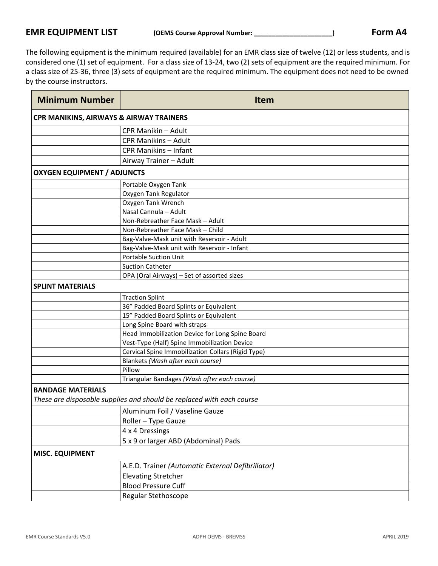The following equipment is the minimum required (available) for an EMR class size of twelve (12) or less students, and is considered one (1) set of equipment. For a class size of 13-24, two (2) sets of equipment are the required minimum. For a class size of 25-36, three (3) sets of equipment are the required minimum. The equipment does not need to be owned by the course instructors.

| <b>Minimum Number</b>              | <b>Item</b>                                                           |  |  |  |
|------------------------------------|-----------------------------------------------------------------------|--|--|--|
|                                    | <b>CPR MANIKINS, AIRWAYS &amp; AIRWAY TRAINERS</b>                    |  |  |  |
|                                    | CPR Manikin - Adult                                                   |  |  |  |
|                                    | <b>CPR Manikins - Adult</b>                                           |  |  |  |
|                                    | <b>CPR Manikins - Infant</b>                                          |  |  |  |
|                                    | Airway Trainer - Adult                                                |  |  |  |
| <b>OXYGEN EQUIPMENT / ADJUNCTS</b> |                                                                       |  |  |  |
|                                    | Portable Oxygen Tank                                                  |  |  |  |
|                                    | Oxygen Tank Regulator                                                 |  |  |  |
|                                    | Oxygen Tank Wrench                                                    |  |  |  |
|                                    | Nasal Cannula - Adult                                                 |  |  |  |
|                                    | Non-Rebreather Face Mask - Adult                                      |  |  |  |
|                                    | Non-Rebreather Face Mask - Child                                      |  |  |  |
|                                    | Bag-Valve-Mask unit with Reservoir - Adult                            |  |  |  |
|                                    | Bag-Valve-Mask unit with Reservoir - Infant                           |  |  |  |
|                                    | <b>Portable Suction Unit</b>                                          |  |  |  |
|                                    | <b>Suction Catheter</b>                                               |  |  |  |
|                                    | OPA (Oral Airways) - Set of assorted sizes                            |  |  |  |
| <b>SPLINT MATERIALS</b>            |                                                                       |  |  |  |
|                                    | <b>Traction Splint</b>                                                |  |  |  |
|                                    | 36" Padded Board Splints or Equivalent                                |  |  |  |
|                                    | 15" Padded Board Splints or Equivalent                                |  |  |  |
|                                    | Long Spine Board with straps                                          |  |  |  |
|                                    | Head Immobilization Device for Long Spine Board                       |  |  |  |
|                                    | Vest-Type (Half) Spine Immobilization Device                          |  |  |  |
|                                    | Cervical Spine Immobilization Collars (Rigid Type)                    |  |  |  |
|                                    | Blankets (Wash after each course)                                     |  |  |  |
|                                    | Pillow                                                                |  |  |  |
|                                    | Triangular Bandages (Wash after each course)                          |  |  |  |
| <b>BANDAGE MATERIALS</b>           | These are disposable supplies and should be replaced with each course |  |  |  |
|                                    | Aluminum Foil / Vaseline Gauze                                        |  |  |  |
|                                    | Roller - Type Gauze                                                   |  |  |  |
|                                    | 4 x 4 Dressings                                                       |  |  |  |
|                                    | 5 x 9 or larger ABD (Abdominal) Pads                                  |  |  |  |
| <b>MISC. EQUIPMENT</b>             |                                                                       |  |  |  |
|                                    | A.E.D. Trainer (Automatic External Defibrillator)                     |  |  |  |
|                                    | <b>Elevating Stretcher</b>                                            |  |  |  |
|                                    | <b>Blood Pressure Cuff</b>                                            |  |  |  |
|                                    | Regular Stethoscope                                                   |  |  |  |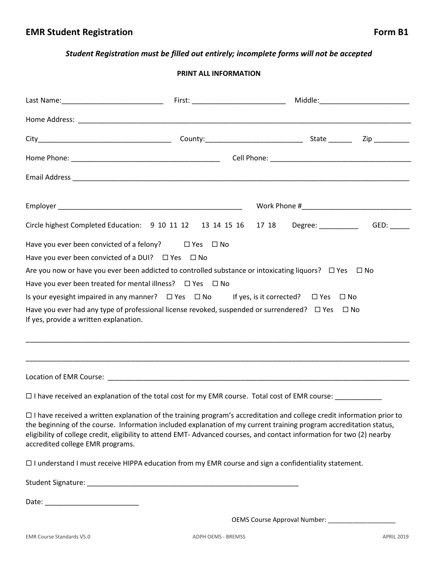#### *Student Registration must be filled out entirely; incomplete forms will not be accepted*

#### **PRINT ALL INFORMATION**

| Circle highest Completed Education: 9 10 11 12 13 14 15 16 17 18 Degree: ____________ GED: _____                                                     |                                                                                                                      |  |  |
|------------------------------------------------------------------------------------------------------------------------------------------------------|----------------------------------------------------------------------------------------------------------------------|--|--|
| Have you ever been convicted of a felony? $\square$ Yes $\square$ No                                                                                 |                                                                                                                      |  |  |
| Have you ever been convicted of a DUI? $\Box$ Yes $\Box$ No                                                                                          |                                                                                                                      |  |  |
| Are you now or have you ever been addicted to controlled substance or intoxicating liquors? $\Box$ Yes $\Box$ No                                     |                                                                                                                      |  |  |
| Have you ever been treated for mental illness? $\Box$ Yes $\Box$ No                                                                                  |                                                                                                                      |  |  |
| Is your eyesight impaired in any manner?  □ Yes  □ No If yes, is it corrected?  □ Yes □ No                                                           |                                                                                                                      |  |  |
| Have you ever had any type of professional license revoked, suspended or surrendered? $\Box$ Yes $\Box$ No<br>If yes, provide a written explanation. |                                                                                                                      |  |  |
|                                                                                                                                                      | <u> 1989 - Andrea Santa Andrea Andrea Andrea Andrea Andrea Andrea Andrea Andrea Andrea Andrea Andrea Andrea Andr</u> |  |  |
|                                                                                                                                                      |                                                                                                                      |  |  |
| □ I have received an explanation of the total cost for my EMR course. Total cost of EMR course: ______________                                       |                                                                                                                      |  |  |

 I have received a written explanation of the training program's accreditation and college credit information prior to the beginning of the course. Information included explanation of my current training program accreditation status, eligibility of college credit, eligibility to attend EMT- Advanced courses, and contact information for two (2) nearby accredited college EMR programs.

 $\Box$  I understand I must receive HIPPA education from my EMR course and sign a confidentiality statement.

Student Signature: \_\_\_\_\_\_\_\_\_\_\_\_\_\_\_\_\_\_\_\_\_\_\_\_\_\_\_\_\_\_\_\_\_\_\_\_\_\_\_\_\_\_\_\_\_\_\_\_\_\_\_\_\_\_

Date: \_\_\_\_\_\_\_\_\_\_\_\_\_\_\_\_\_\_\_\_\_\_\_\_

OEMS Course Approval Number: \_\_\_\_\_\_\_\_\_\_\_\_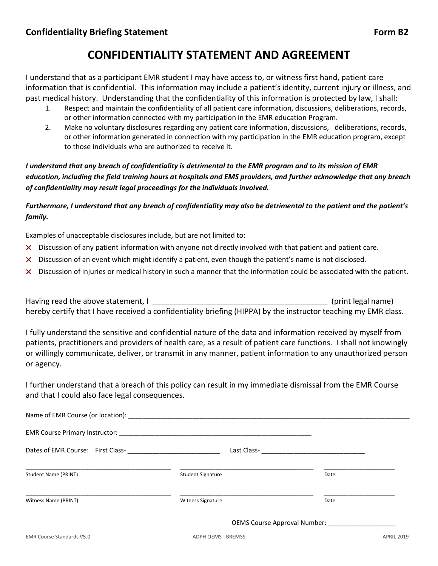# **CONFIDENTIALITY STATEMENT AND AGREEMENT**

I understand that as a participant EMR student I may have access to, or witness first hand, patient care information that is confidential. This information may include a patient's identity, current injury or illness, and past medical history. Understanding that the confidentiality of this information is protected by law, I shall:

- 1. Respect and maintain the confidentiality of all patient care information, discussions, deliberations, records, or other information connected with my participation in the EMR education Program.
- 2. Make no voluntary disclosures regarding any patient care information, discussions, deliberations, records, or other information generated in connection with my participation in the EMR education program, except to those individuals who are authorized to receive it.

*I understand that any breach of confidentiality is detrimental to the EMR program and to its mission of EMR education, including the field training hours at hospitals and EMS providers, and further acknowledge that any breach of confidentiality may result legal proceedings for the individuals involved.*

*Furthermore, I understand that any breach of confidentiality may also be detrimental to the patient and the patient's family.*

Examples of unacceptable disclosures include, but are not limited to:

- × Discussion of any patient information with anyone not directly involved with that patient and patient care.
- × Discussion of an event which might identify a patient, even though the patient's name is not disclosed.
- × Discussion of injuries or medical history in such a manner that the information could be associated with the patient.

Having read the above statement, I and its experience of the statement of the statement of the statement of the statement of the statement of the statement of the statement of the statement of the statement of the statemen hereby certify that I have received a confidentiality briefing (HIPPA) by the instructor teaching my EMR class.

I fully understand the sensitive and confidential nature of the data and information received by myself from patients, practitioners and providers of health care, as a result of patient care functions. I shall not knowingly or willingly communicate, deliver, or transmit in any manner, patient information to any unauthorized person or agency.

I further understand that a breach of this policy can result in my immediate dismissal from the EMR Course and that I could also face legal consequences.

| Student Name (PRINT)             | <b>Student Signature</b>  | Date                                |
|----------------------------------|---------------------------|-------------------------------------|
| Witness Name (PRINT)             | <b>Witness Signature</b>  | Date                                |
|                                  |                           | <b>OEMS Course Approval Number:</b> |
| <b>EMR Course Standards V5.0</b> | <b>ADPH OEMS - BREMSS</b> | <b>APRIL 2019</b>                   |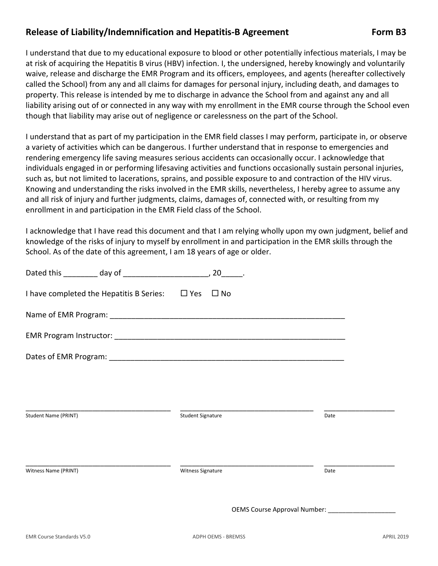## Release of Liability/Indemnification and Hepatitis-B Agreement Form B3

I understand that due to my educational exposure to blood or other potentially infectious materials, I may be at risk of acquiring the Hepatitis B virus (HBV) infection. I, the undersigned, hereby knowingly and voluntarily waive, release and discharge the EMR Program and its officers, employees, and agents (hereafter collectively called the School) from any and all claims for damages for personal injury, including death, and damages to property. This release is intended by me to discharge in advance the School from and against any and all liability arising out of or connected in any way with my enrollment in the EMR course through the School even though that liability may arise out of negligence or carelessness on the part of the School.

I understand that as part of my participation in the EMR field classes I may perform, participate in, or observe a variety of activities which can be dangerous. I further understand that in response to emergencies and rendering emergency life saving measures serious accidents can occasionally occur. I acknowledge that individuals engaged in or performing lifesaving activities and functions occasionally sustain personal injuries, such as, but not limited to lacerations, sprains, and possible exposure to and contraction of the HIV virus. Knowing and understanding the risks involved in the EMR skills, nevertheless, I hereby agree to assume any and all risk of injury and further judgments, claims, damages of, connected with, or resulting from my enrollment in and participation in the EMR Field class of the School.

I acknowledge that I have read this document and that I am relying wholly upon my own judgment, belief and knowledge of the risks of injury to myself by enrollment in and participation in the EMR skills through the School. As of the date of this agreement, I am 18 years of age or older.

| I have completed the Hepatitis B Series: $\Box$ Yes $\Box$ No |                          |      |
|---------------------------------------------------------------|--------------------------|------|
|                                                               |                          |      |
|                                                               |                          |      |
|                                                               |                          |      |
|                                                               |                          |      |
|                                                               |                          |      |
| Student Name (PRINT)                                          | <b>Student Signature</b> | Date |
|                                                               |                          |      |
| Witness Name (PRINT)                                          | Witness Signature        | Date |
|                                                               |                          |      |
|                                                               |                          |      |
|                                                               |                          |      |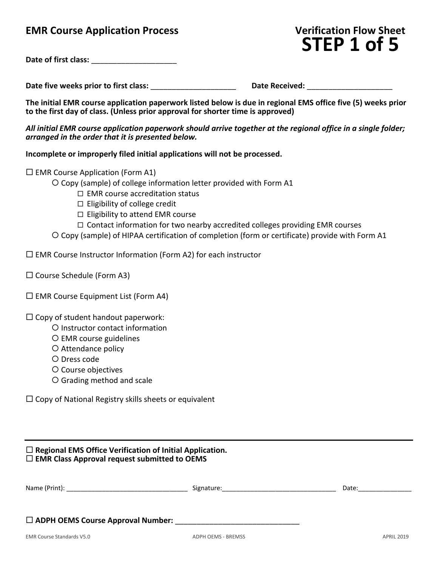#### Date of first class:

# **STEP 1 of 5**

Date five weeks prior to first class: **Example 20 and Solution Properties Contains Properties Contains Properties** 

**The initial EMR course application paperwork listed below is due in regional EMS office five (5) weeks prior to the first day of class. (Unless prior approval for shorter time is approved)**

*All initial EMR course application paperwork should arrive together at the regional office in a single folder; arranged in the order that it is presented below.*

**Incomplete or improperly filed initial applications will not be processed.**

 $\square$  EMR Course Application (Form A1)

Copy (sample) of college information letter provided with Form A1

 $\Box$  EMR course accreditation status

- $\Box$  Eligibility of college credit
- $\Box$  Eligibility to attend EMR course

 $\Box$  Contact information for two nearby accredited colleges providing EMR courses

Copy (sample) of HIPAA certification of completion (form or certificate) provide with Form A1

 $\Box$  EMR Course Instructor Information (Form A2) for each instructor

- $\square$  Course Schedule (Form A3)
- $\Box$  EMR Course Equipment List (Form A4)

 $\square$  Copy of student handout paperwork:

- O Instructor contact information
- EMR course guidelines
- O Attendance policy
- Dress code
- O Course objectives
- Grading method and scale

 $\square$  Copy of National Registry skills sheets or equivalent

 **Regional EMS Office Verification of Initial Application. EMR Class Approval request submitted to OEMS**

| Name (Print):                            | Signature: | Date: |
|------------------------------------------|------------|-------|
|                                          |            |       |
|                                          |            |       |
| $\Box$ ADPH OEMS Course Approval Number: |            |       |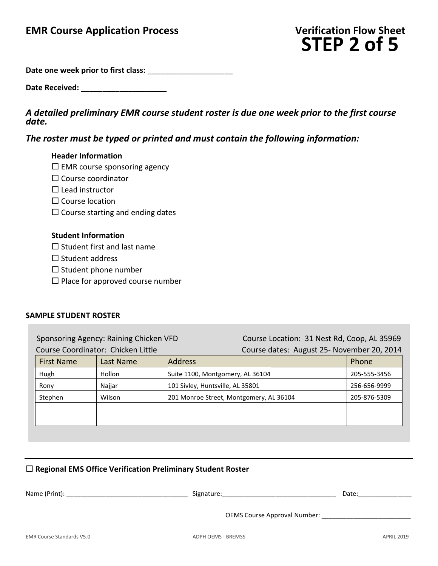**Date one week prior to first class:** \_\_\_\_\_\_\_\_\_\_\_\_\_\_\_\_\_\_\_\_

Date Received:

# *A detailed preliminary EMR course student roster is due one week prior to the first course date.*

### *The roster must be typed or printed and must contain the following information:*

#### **Header Information**

- $\square$  EMR course sponsoring agency
- $\square$  Course coordinator
- $\Box$  Lead instructor
- $\square$  Course location
- $\square$  Course starting and ending dates

#### **Student Information**

- $\square$  Student first and last name
- $\square$  Student address
- $\square$  Student phone number
- $\square$  Place for approved course number

#### **SAMPLE STUDENT ROSTER**

Sponsoring Agency: Raining Chicken VFD Course Location: 31 Nest Rd, Coop, AL 35969 Course Coordinator: Chicken Little Course dates: August 25- November 20, 2014

| <b>First Name</b> | Last Name | <b>Address</b>                          | Phone        |
|-------------------|-----------|-----------------------------------------|--------------|
| Hugh              | Hollon    | Suite 1100, Montgomery, AL 36104        | 205-555-3456 |
| Rony              | Najjar    | 101 Sivley, Huntsville, AL 35801        | 256-656-9999 |
| Stephen           | Wilson    | 201 Monroe Street, Montgomery, AL 36104 | 205-876-5309 |
|                   |           |                                         |              |
|                   |           |                                         |              |

#### **Regional EMS Office Verification Preliminary Student Roster**

| Name (Print):                    | Signature:                          | Date:             |
|----------------------------------|-------------------------------------|-------------------|
|                                  | <b>OEMS Course Approval Number:</b> |                   |
| <b>EMR Course Standards V5.0</b> | ADPH OEMS - BREMSS                  | <b>APRIL 2019</b> |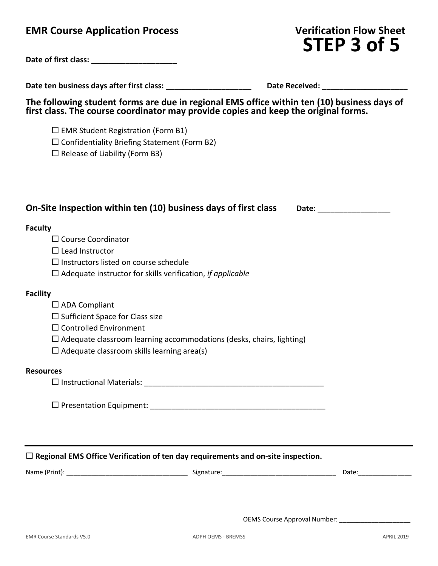| Date ten business days after first class:                                                                                                                                          | Date Received: Note that the set of the set of the set of the set of the set of the set of the set of the set o |
|------------------------------------------------------------------------------------------------------------------------------------------------------------------------------------|-----------------------------------------------------------------------------------------------------------------|
| The following student forms are due in regional EMS office within ten (10) business days of<br>first class. The course coordinator may provide copies and keep the original forms. |                                                                                                                 |
| $\Box$ EMR Student Registration (Form B1)                                                                                                                                          |                                                                                                                 |
| $\Box$ Confidentiality Briefing Statement (Form B2)                                                                                                                                |                                                                                                                 |
| $\Box$ Release of Liability (Form B3)                                                                                                                                              |                                                                                                                 |
| On-Site Inspection within ten (10) business days of first class                                                                                                                    | Date: ______________                                                                                            |
| <b>Faculty</b>                                                                                                                                                                     |                                                                                                                 |
| $\Box$ Course Coordinator<br>$\Box$ Lead Instructor                                                                                                                                |                                                                                                                 |
| $\Box$ Instructors listed on course schedule                                                                                                                                       |                                                                                                                 |
| $\Box$ Adequate instructor for skills verification, if applicable                                                                                                                  |                                                                                                                 |
| <b>Facility</b>                                                                                                                                                                    |                                                                                                                 |
| $\Box$ ADA Compliant                                                                                                                                                               |                                                                                                                 |
| $\Box$ Sufficient Space for Class size                                                                                                                                             |                                                                                                                 |
| $\Box$ Controlled Environment                                                                                                                                                      |                                                                                                                 |
| $\Box$ Adequate classroom learning accommodations (desks, chairs, lighting)                                                                                                        |                                                                                                                 |
| $\Box$ Adequate classroom skills learning area(s)                                                                                                                                  |                                                                                                                 |
| <b>Resources</b>                                                                                                                                                                   |                                                                                                                 |
| $\Box$ Instructional Materials:                                                                                                                                                    |                                                                                                                 |
|                                                                                                                                                                                    |                                                                                                                 |
|                                                                                                                                                                                    |                                                                                                                 |
| $\Box$ Regional EMS Office Verification of ten day requirements and on-site inspection.                                                                                            |                                                                                                                 |
|                                                                                                                                                                                    |                                                                                                                 |
|                                                                                                                                                                                    |                                                                                                                 |
|                                                                                                                                                                                    |                                                                                                                 |
|                                                                                                                                                                                    | OEMS Course Approval Number: _________________________                                                          |

**STEP 3 of 5**

Date of first class: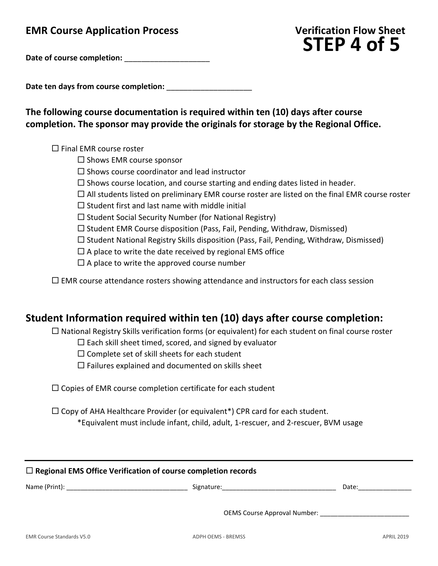Date of course completion:

Date ten days from course completion:

# **The following course documentation is required within ten (10) days after course completion. The sponsor may provide the originals for storage by the Regional Office.**

 $\square$  Final EMR course roster

- $\square$  Shows EMR course sponsor
- $\square$  Shows course coordinator and lead instructor
- $\square$  Shows course location, and course starting and ending dates listed in header.
- $\Box$  All students listed on preliminary EMR course roster are listed on the final EMR course roster

**STEP 4 of 5**

- $\square$  Student first and last name with middle initial
- $\square$  Student Social Security Number (for National Registry)
- $\square$  Student EMR Course disposition (Pass, Fail, Pending, Withdraw, Dismissed)
- $\square$  Student National Registry Skills disposition (Pass, Fail, Pending, Withdraw, Dismissed)
- $\Box$  A place to write the date received by regional EMS office
- $\square$  A place to write the approved course number

 $\square$  EMR course attendance rosters showing attendance and instructors for each class session

# **Student Information required within ten (10) days after course completion:**

 $\Box$  National Registry Skills verification forms (or equivalent) for each student on final course roster

- $\square$  Each skill sheet timed, scored, and signed by evaluator
- $\square$  Complete set of skill sheets for each student
- $\Box$  Failures explained and documented on skills sheet

 $\square$  Copies of EMR course completion certificate for each student

 $\Box$  Copy of AHA Healthcare Provider (or equivalent\*) CPR card for each student. \*Equivalent must include infant, child, adult, 1-rescuer, and 2-rescuer, BVM usage

| $\Box$ Regional EMS Office Verification of course completion records |                                     |       |
|----------------------------------------------------------------------|-------------------------------------|-------|
|                                                                      |                                     | Date: |
|                                                                      | <b>OEMS Course Approval Number:</b> |       |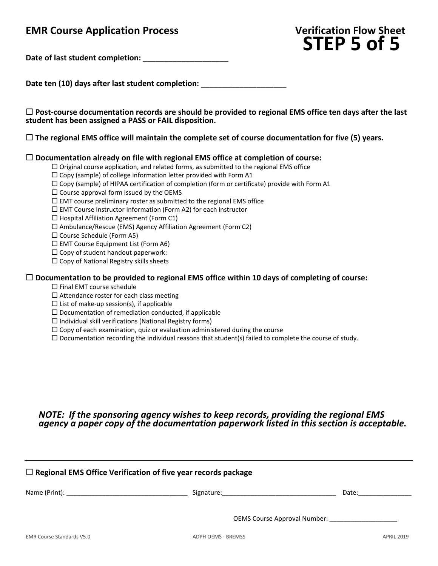Date of last student completion:

#### Date ten (10) days after last student completion:

 **Post-course documentation records are should be provided to regional EMS office ten days after the last student has been assigned a PASS or FAIL disposition.**

**The regional EMS office will maintain the complete set of course documentation for five (5) years.**

#### **Documentation already on file with regional EMS office at completion of course:**

 $\Box$  Original course application, and related forms, as submitted to the regional EMS office

 $\square$  Copy (sample) of college information letter provided with Form A1

 $\square$  Copy (sample) of HIPAA certification of completion (form or certificate) provide with Form A1

 $\square$  Course approval form issued by the OEMS

 $\Box$  EMT course preliminary roster as submitted to the regional EMS office

 $\Box$  EMT Course Instructor Information (Form A2) for each instructor

 $\Box$  Hospital Affiliation Agreement (Form C1)

 $\square$  Ambulance/Rescue (EMS) Agency Affiliation Agreement (Form C2)

 $\square$  Course Schedule (Form A5)

 $\square$  EMT Course Equipment List (Form A6)

 $\square$  Copy of student handout paperwork:

 $\Box$  Copy of National Registry skills sheets

#### **Documentation to be provided to regional EMS office within 10 days of completing of course:**

 $\square$  Final EMT course schedule

 $\square$  Attendance roster for each class meeting

 $\square$  List of make-up session(s), if applicable

 $\square$  Documentation of remediation conducted, if applicable

 $\Box$  Individual skill verifications (National Registry forms)

 $\Box$  Copy of each examination, quiz or evaluation administered during the course

 $\Box$  Documentation recording the individual reasons that student(s) failed to complete the course of study.

#### *NOTE: If the sponsoring agency wishes to keep records, providing the regional EMS agency a paper copy of the documentation paperwork listed in this section is acceptable.*

| $\Box$ Regional EMS Office Verification of five year records package |                    |                                     |  |
|----------------------------------------------------------------------|--------------------|-------------------------------------|--|
|                                                                      |                    | Date: ____________                  |  |
|                                                                      |                    | <b>OEMS Course Approval Number:</b> |  |
| <b>EMR Course Standards V5.0</b>                                     | ADPH OEMS - BREMSS | <b>APRIL 2019</b>                   |  |

**STEP 5 of 5**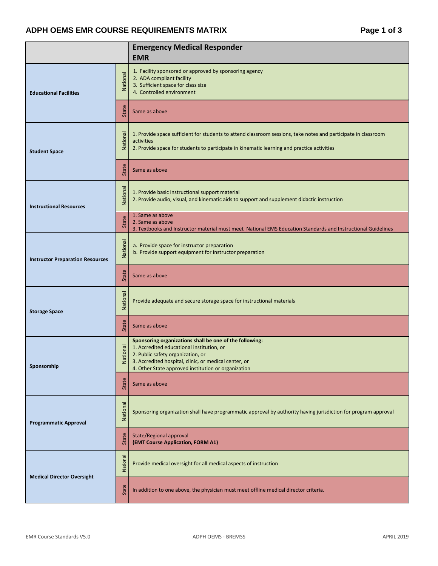## ADPH OEMS EMR COURSE REQUIREMENTS MATRIX **Fig. 2** Page 1 of 3

|                                         |          | <b>Emergency Medical Responder</b><br><b>EMR</b>                                                                                                                                                                                                          |  |
|-----------------------------------------|----------|-----------------------------------------------------------------------------------------------------------------------------------------------------------------------------------------------------------------------------------------------------------|--|
| <b>Educational Facilities</b>           | National | 1. Facility sponsored or approved by sponsoring agency<br>2. ADA compliant facility<br>3. Sufficient space for class size<br>4. Controlled environment                                                                                                    |  |
|                                         | State    | Same as above                                                                                                                                                                                                                                             |  |
| <b>Student Space</b>                    | National | 1. Provide space sufficient for students to attend classroom sessions, take notes and participate in classroom<br>activities<br>2. Provide space for students to participate in kinematic learning and practice activities                                |  |
|                                         | State    | Same as above                                                                                                                                                                                                                                             |  |
| <b>Instructional Resources</b>          | Nationa  | 1. Provide basic instructional support material<br>2. Provide audio, visual, and kinematic aids to support and supplement didactic instruction                                                                                                            |  |
|                                         | State    | 1. Same as above<br>2. Same as above<br>3. Textbooks and Instructor material must meet National EMS Education Standards and Instructional Guidelines                                                                                                      |  |
| <b>Instructor Preparation Resources</b> | National | a. Provide space for instructor preparation<br>b. Provide support equipment for instructor preparation                                                                                                                                                    |  |
|                                         | State    | Same as above                                                                                                                                                                                                                                             |  |
| <b>Storage Space</b>                    | National | Provide adequate and secure storage space for instructional materials                                                                                                                                                                                     |  |
|                                         | State    | Same as above                                                                                                                                                                                                                                             |  |
| Sponsorship                             | Vational | Sponsoring organizations shall be one of the following:<br>1. Accredited educational institution, or<br>2. Public safety organization, or<br>3. Accredited hospital, clinic, or medical center, or<br>4. Other State approved institution or organization |  |
|                                         | State    | Same as above                                                                                                                                                                                                                                             |  |
| <b>Programmatic Approval</b>            | National | Sponsoring organization shall have programmatic approval by authority having jurisdiction for program approval                                                                                                                                            |  |
|                                         | State    | State/Regional approval<br>(EMT Course Application, FORM A1)                                                                                                                                                                                              |  |
|                                         | National | Provide medical oversight for all medical aspects of instruction                                                                                                                                                                                          |  |
| <b>Medical Director Oversight</b>       | State    | In addition to one above, the physician must meet offline medical director criteria.                                                                                                                                                                      |  |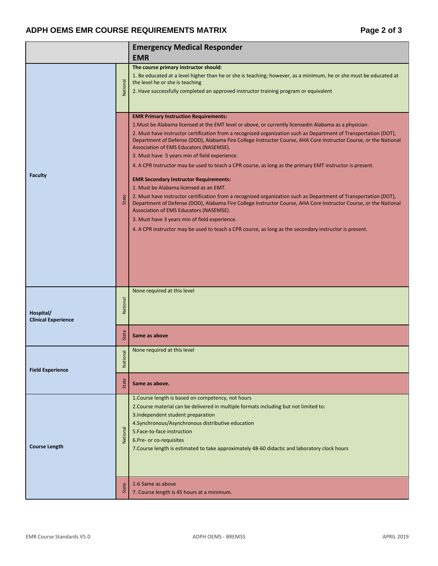## ADPH OEMS EMR COURSE REQUIREMENTS MATRIX **Fig. 2** and  $P$  and  $P$  and  $P$  and  $P$  and  $P$  and  $P$  and  $P$  and  $P$  and  $P$  and  $P$  and  $P$  and  $P$  and  $P$  and  $P$  and  $P$  and  $P$  and  $P$  and  $P$  and  $P$  and  $P$  and  $P$  and

|                                         |                          | <b>Emergency Medical Responder</b><br><b>EMR</b>                                                                                                                                                                                                                                                                                                                                                                                                                                                                                                                                                                                                                                                                                                                                                                                                                                                                                                                                                                                                                                                                                                |
|-----------------------------------------|--------------------------|-------------------------------------------------------------------------------------------------------------------------------------------------------------------------------------------------------------------------------------------------------------------------------------------------------------------------------------------------------------------------------------------------------------------------------------------------------------------------------------------------------------------------------------------------------------------------------------------------------------------------------------------------------------------------------------------------------------------------------------------------------------------------------------------------------------------------------------------------------------------------------------------------------------------------------------------------------------------------------------------------------------------------------------------------------------------------------------------------------------------------------------------------|
|                                         | Vational                 | The course primary instructor should:<br>1. Be educated at a level higher than he or she is teaching; however, as a minimum, he or she must be educated at<br>the level he or she is teaching<br>2. Have successfully completed an approved instructor training program or equivalent                                                                                                                                                                                                                                                                                                                                                                                                                                                                                                                                                                                                                                                                                                                                                                                                                                                           |
| <b>Faculty</b>                          | State                    | <b>EMR Primary Instruction Requirements:</b><br>1. Must be Alabama licensed at the EMT level or above, or currently licensedin Alabama as a physician.<br>2. Must have instructor certification from a recognized organization such as Department of Transportation (DOT),<br>Department of Defense (DOD), Alabama Fire College Instructor Course, AHA Core Instructor Course, or the National<br>Association of EMS Educators (NASEMSE).<br>3. Must have 5 years min of field experience.<br>4. A CPR Instructor may be used to teach a CPR course, as long as the primary EMT instructor is present.<br><b>EMR Secondary Instructor Requirements:</b><br>1. Must be Alabama licensed as an EMT.<br>2. Must have instructor certification from a recognized organization such as Department of Transportation (DOT),<br>Department of Defense (DOD), Alabama Fire College Instructor Course, AHA Core Instructor Course, or the National<br>Association of EMS Educators (NASEMSE).<br>3. Must have 3 years min of field experience.<br>4. A CPR instructor may be used to teach a CPR course, as long as the secondary instructor is present. |
| Hospital/<br><b>Clinical Experience</b> | National                 | None required at this level                                                                                                                                                                                                                                                                                                                                                                                                                                                                                                                                                                                                                                                                                                                                                                                                                                                                                                                                                                                                                                                                                                                     |
|                                         | State                    | Same as above                                                                                                                                                                                                                                                                                                                                                                                                                                                                                                                                                                                                                                                                                                                                                                                                                                                                                                                                                                                                                                                                                                                                   |
| <b>Field Experience</b>                 | tional<br>$\overline{a}$ | None required at this level                                                                                                                                                                                                                                                                                                                                                                                                                                                                                                                                                                                                                                                                                                                                                                                                                                                                                                                                                                                                                                                                                                                     |
|                                         | State                    | Same as above.                                                                                                                                                                                                                                                                                                                                                                                                                                                                                                                                                                                                                                                                                                                                                                                                                                                                                                                                                                                                                                                                                                                                  |
| <b>Course Length</b>                    | Nationa                  | 1. Course length is based on competency, not hours<br>2. Course material can be delivered in multiple formats including but not limited to:<br>3. Independent student preparation<br>4. Synchronous/Asynchronous distributive education<br>5. Face-to-face instruction<br>6.Pre- or co-requisites<br>7. Course length is estimated to take approximately 48-60 didactic and laboratory clock hours                                                                                                                                                                                                                                                                                                                                                                                                                                                                                                                                                                                                                                                                                                                                              |
|                                         | State                    | 1-6 Same as above<br>7. Course length is 45 hours at a minimum.                                                                                                                                                                                                                                                                                                                                                                                                                                                                                                                                                                                                                                                                                                                                                                                                                                                                                                                                                                                                                                                                                 |